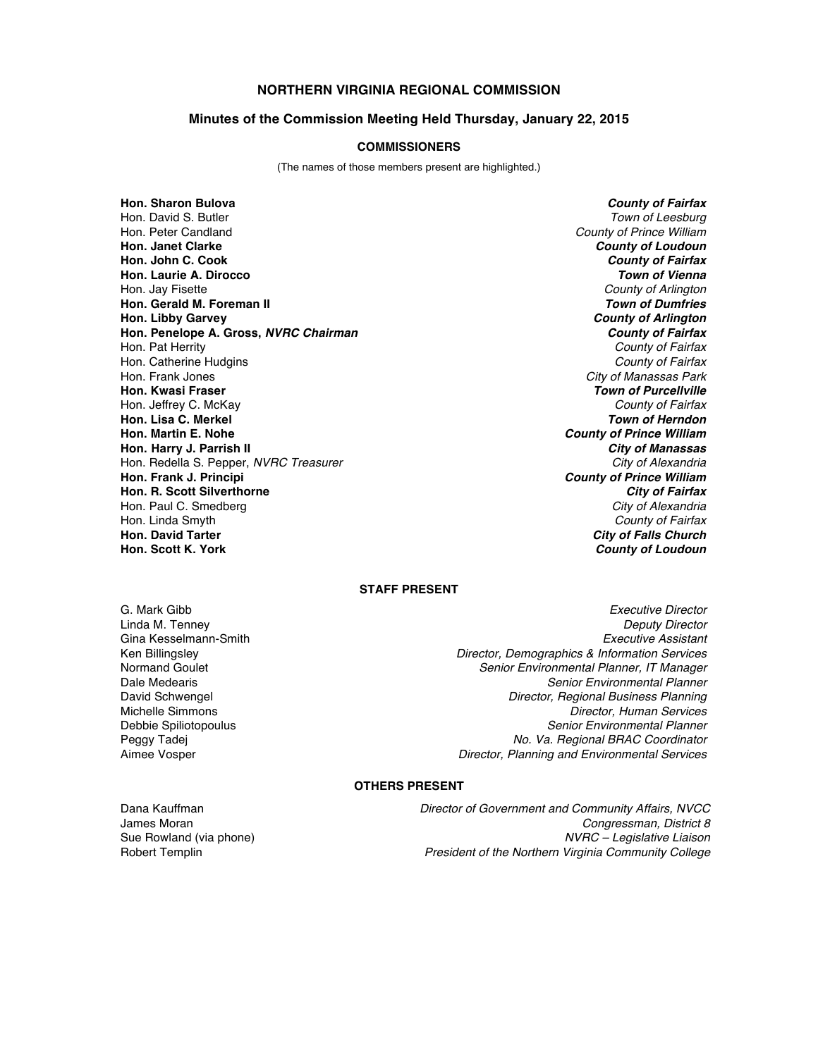# **NORTHERN VIRGINIA REGIONAL COMMISSION**

### **Minutes of the Commission Meeting Held Thursday, January 22, 2015**

### **COMMISSIONERS**

(The names of those members present are highlighted.)

**Hon. Sharon Bulova** *County of Fairfax* Hon. Peter Candland *County of Prince William* **Hon. Janet Clarke** *County of Loudoun* **Hon. John C. Cook** *County of Fairfax* **Hon. Laurie A. Dirocco** *Town of Vienna* Hon. Jay Fisette *County of Arlington* **Hon. Gerald M. Foreman II Hon. Libby Garvey** *County of Arlington* **Hon. Penelope A. Gross,** *NVRC Chairman* Hon. Pat Herrity *County of Fairfax* Hon. Catherine Hudgins *County of Fairfax* Hon. Frank Jones *City of Manassas Park* **Hon. Kwasi Fraser** *Town of Purcellville* Hon. Jeffrey C. McKay *County of Fairfax* **Hon. Lisa C. Merkel** *Town of Herndon* **Hon.** Harry J. Parrish II Hon. Redella S. Pepper, *NVRC Treasurer* City of Alexandria City of Alexandria<br> **Hon. Frank J. Principi** County of Prince William **Hon. R. Scott Silverthorne** *City of Fairfax* Hon. Paul C. Smedberg Hon. Linda Smyth *County of Fairfax* **Hon. David Tarter** *City of Falls Church*

**Town of Leesburg County of Prince William**<br>**City of Manassas County of Prince William**<br>*City of Fairfax* **County of Loudoun** 

## **STAFF PRESENT**

G. Mark Gibb *Executive Director* Linda M. Tenney *Deputy Director* Gina Kesselmann-Smith *Executive Assistant* Ken Billingsley *Director, Demographics & Information Services* Normand Goulet *Senior Environmental Planner, IT Manager* **Senior Environmental Planner** David Schwengel *Director, Regional Business Planning* Michelle Simmons *Director, Human Services* Debbie Spiliotopoulus *Senior Environmental Planner* Peggy Tadej *No. Va. Regional BRAC Coordinator* Aimee Vosper *Director, Planning and Environmental Services*

#### **OTHERS PRESENT**

Dana Kauffman *Director of Government and Community Affairs, NVCC* James Moran *Congressman, District 8* Sue Rowland (via phone) *NVRC – Legislative Liaison* Robert Templin *President of the Northern Virginia Community College*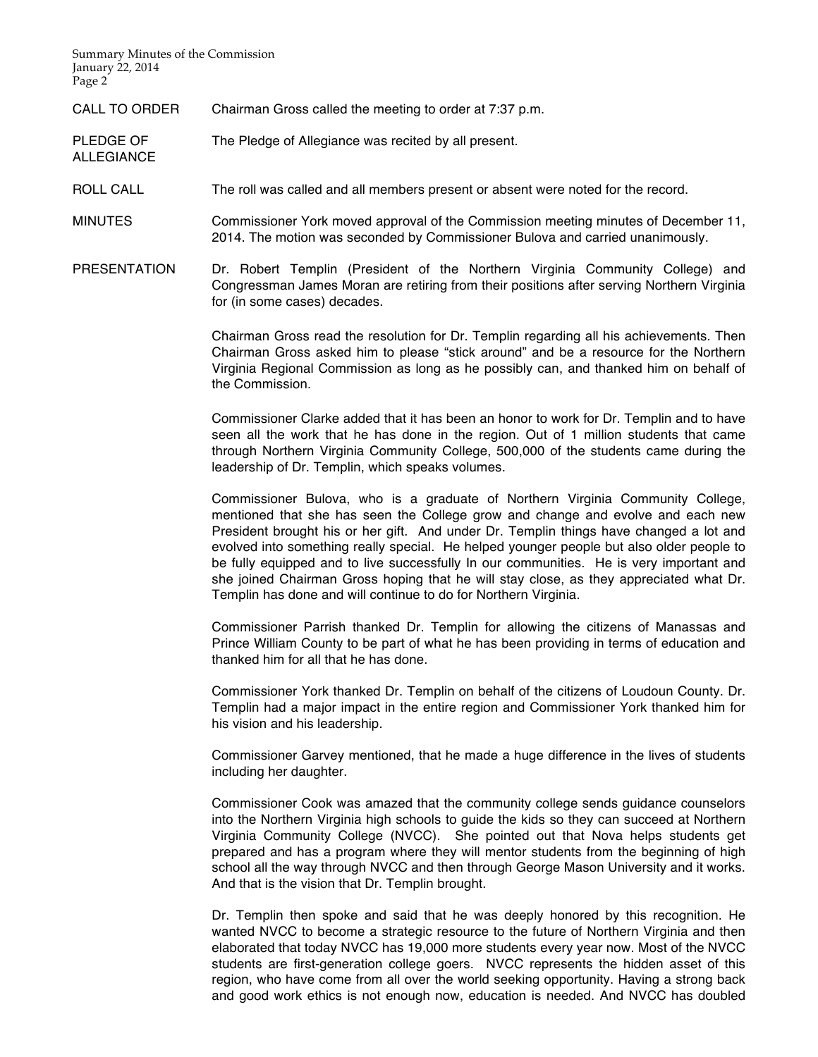Summary Minutes of the Commission January 22, 2014 Page 2<sup>-</sup>

ALLEGIANCE

CALL TO ORDER Chairman Gross called the meeting to order at 7:37 p.m.

PLEDGE OF The Pledge of Allegiance was recited by all present.

ROLL CALL The roll was called and all members present or absent were noted for the record.

MINUTES Commissioner York moved approval of the Commission meeting minutes of December 11, 2014. The motion was seconded by Commissioner Bulova and carried unanimously.

PRESENTATION Dr. Robert Templin (President of the Northern Virginia Community College) and Congressman James Moran are retiring from their positions after serving Northern Virginia for (in some cases) decades.

> Chairman Gross read the resolution for Dr. Templin regarding all his achievements. Then Chairman Gross asked him to please "stick around" and be a resource for the Northern Virginia Regional Commission as long as he possibly can, and thanked him on behalf of the Commission.

> Commissioner Clarke added that it has been an honor to work for Dr. Templin and to have seen all the work that he has done in the region. Out of 1 million students that came through Northern Virginia Community College, 500,000 of the students came during the leadership of Dr. Templin, which speaks volumes.

> Commissioner Bulova, who is a graduate of Northern Virginia Community College, mentioned that she has seen the College grow and change and evolve and each new President brought his or her gift. And under Dr. Templin things have changed a lot and evolved into something really special. He helped younger people but also older people to be fully equipped and to live successfully In our communities. He is very important and she joined Chairman Gross hoping that he will stay close, as they appreciated what Dr. Templin has done and will continue to do for Northern Virginia.

> Commissioner Parrish thanked Dr. Templin for allowing the citizens of Manassas and Prince William County to be part of what he has been providing in terms of education and thanked him for all that he has done.

> Commissioner York thanked Dr. Templin on behalf of the citizens of Loudoun County. Dr. Templin had a major impact in the entire region and Commissioner York thanked him for his vision and his leadership.

> Commissioner Garvey mentioned, that he made a huge difference in the lives of students including her daughter.

> Commissioner Cook was amazed that the community college sends guidance counselors into the Northern Virginia high schools to guide the kids so they can succeed at Northern Virginia Community College (NVCC). She pointed out that Nova helps students get prepared and has a program where they will mentor students from the beginning of high school all the way through NVCC and then through George Mason University and it works. And that is the vision that Dr. Templin brought.

> Dr. Templin then spoke and said that he was deeply honored by this recognition. He wanted NVCC to become a strategic resource to the future of Northern Virginia and then elaborated that today NVCC has 19,000 more students every year now. Most of the NVCC students are first-generation college goers. NVCC represents the hidden asset of this region, who have come from all over the world seeking opportunity. Having a strong back and good work ethics is not enough now, education is needed. And NVCC has doubled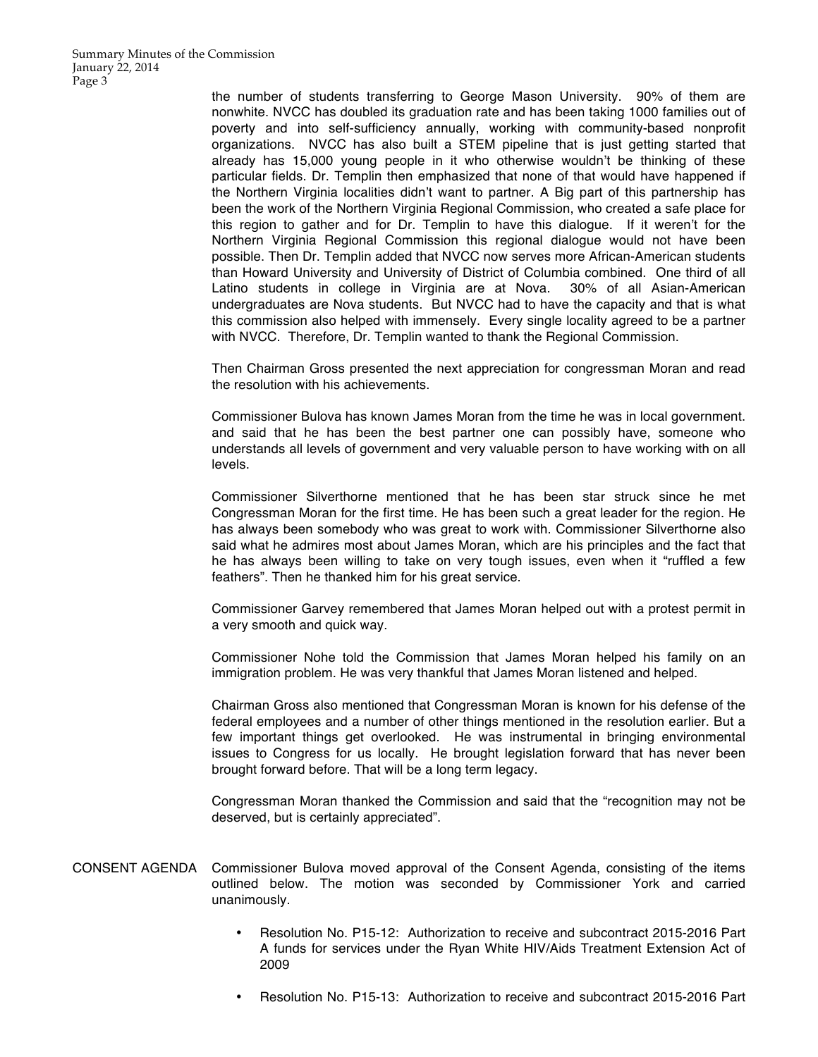the number of students transferring to George Mason University. 90% of them are nonwhite. NVCC has doubled its graduation rate and has been taking 1000 families out of poverty and into self-sufficiency annually, working with community-based nonprofit organizations. NVCC has also built a STEM pipeline that is just getting started that already has 15,000 young people in it who otherwise wouldn't be thinking of these particular fields. Dr. Templin then emphasized that none of that would have happened if the Northern Virginia localities didn't want to partner. A Big part of this partnership has been the work of the Northern Virginia Regional Commission, who created a safe place for this region to gather and for Dr. Templin to have this dialogue. If it weren't for the Northern Virginia Regional Commission this regional dialogue would not have been possible. Then Dr. Templin added that NVCC now serves more African-American students than Howard University and University of District of Columbia combined. One third of all Latino students in college in Virginia are at Nova. 30% of all Asian-American undergraduates are Nova students. But NVCC had to have the capacity and that is what this commission also helped with immensely. Every single locality agreed to be a partner with NVCC. Therefore, Dr. Templin wanted to thank the Regional Commission.

Then Chairman Gross presented the next appreciation for congressman Moran and read the resolution with his achievements.

Commissioner Bulova has known James Moran from the time he was in local government. and said that he has been the best partner one can possibly have, someone who understands all levels of government and very valuable person to have working with on all levels.

Commissioner Silverthorne mentioned that he has been star struck since he met Congressman Moran for the first time. He has been such a great leader for the region. He has always been somebody who was great to work with. Commissioner Silverthorne also said what he admires most about James Moran, which are his principles and the fact that he has always been willing to take on very tough issues, even when it "ruffled a few feathers". Then he thanked him for his great service.

Commissioner Garvey remembered that James Moran helped out with a protest permit in a very smooth and quick way.

Commissioner Nohe told the Commission that James Moran helped his family on an immigration problem. He was very thankful that James Moran listened and helped.

Chairman Gross also mentioned that Congressman Moran is known for his defense of the federal employees and a number of other things mentioned in the resolution earlier. But a few important things get overlooked. He was instrumental in bringing environmental issues to Congress for us locally. He brought legislation forward that has never been brought forward before. That will be a long term legacy.

Congressman Moran thanked the Commission and said that the "recognition may not be deserved, but is certainly appreciated".

CONSENT AGENDA Commissioner Bulova moved approval of the Consent Agenda, consisting of the items outlined below. The motion was seconded by Commissioner York and carried unanimously.

- Resolution No. P15-12: Authorization to receive and subcontract 2015-2016 Part A funds for services under the Ryan White HIV/Aids Treatment Extension Act of 2009
- Resolution No. P15-13: Authorization to receive and subcontract 2015-2016 Part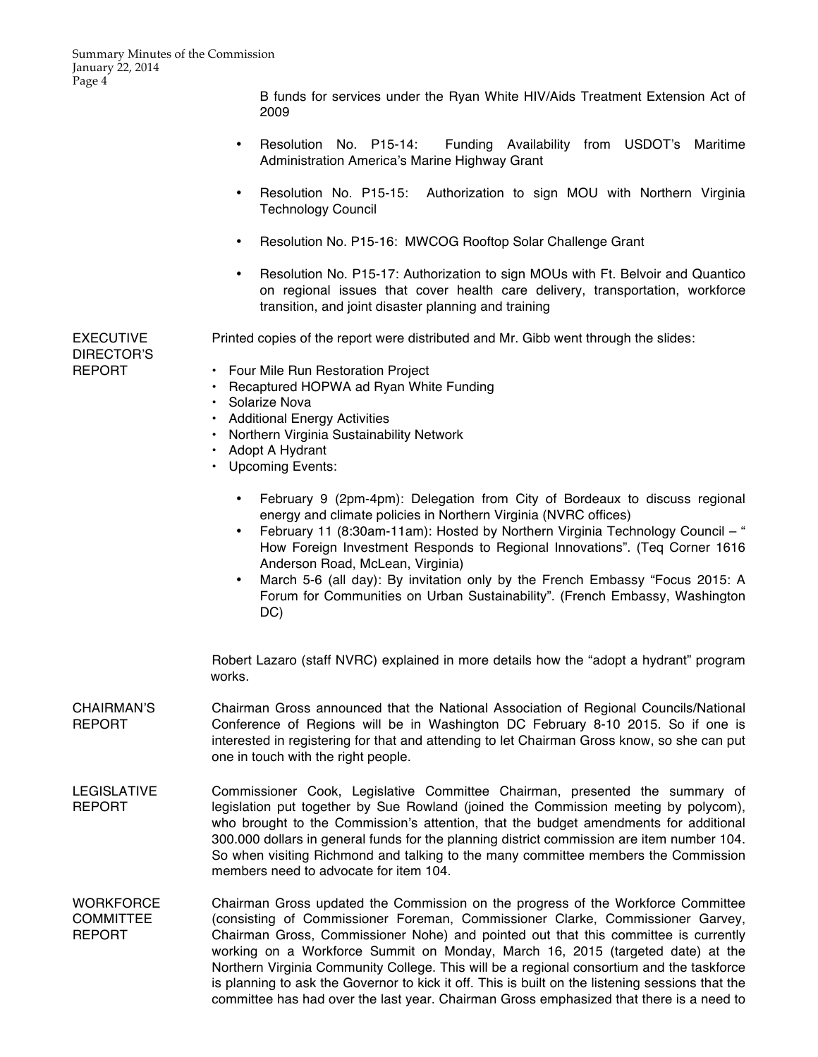B funds for services under the Ryan White HIV/Aids Treatment Extension Act of 2009

- Resolution No. P15-14: Funding Availability from USDOT's Maritime Administration America's Marine Highway Grant
- Resolution No. P15-15: Authorization to sign MOU with Northern Virginia Technology Council
- Resolution No. P15-16: MWCOG Rooftop Solar Challenge Grant
- Resolution No. P15-17: Authorization to sign MOUs with Ft. Belvoir and Quantico on regional issues that cover health care delivery, transportation, workforce transition, and joint disaster planning and training

EXECUTIVE DIRECTOR'S REPORT

Printed copies of the report were distributed and Mr. Gibb went through the slides:

- Four Mile Run Restoration Project
- Recaptured HOPWA ad Ryan White Funding
- Solarize Nova
- Additional Energy Activities
- Northern Virginia Sustainability Network
- Adopt A Hydrant
- Upcoming Events:
	- February 9 (2pm-4pm): Delegation from City of Bordeaux to discuss regional energy and climate policies in Northern Virginia (NVRC offices)
	- February 11 (8:30am-11am): Hosted by Northern Virginia Technology Council " How Foreign Investment Responds to Regional Innovations". (Teq Corner 1616 Anderson Road, McLean, Virginia)
	- March 5-6 (all day): By invitation only by the French Embassy "Focus 2015: A Forum for Communities on Urban Sustainability". (French Embassy, Washington DC)

Robert Lazaro (staff NVRC) explained in more details how the "adopt a hydrant" program works.

- CHAIRMAN'S REPORT Chairman Gross announced that the National Association of Regional Councils/National Conference of Regions will be in Washington DC February 8-10 2015. So if one is interested in registering for that and attending to let Chairman Gross know, so she can put one in touch with the right people.
- LEGISLATIVE REPORT Commissioner Cook, Legislative Committee Chairman, presented the summary of legislation put together by Sue Rowland (joined the Commission meeting by polycom), who brought to the Commission's attention, that the budget amendments for additional 300.000 dollars in general funds for the planning district commission are item number 104. So when visiting Richmond and talking to the many committee members the Commission members need to advocate for item 104.
- **WORKFORCE** COMMITTEE REPORT Chairman Gross updated the Commission on the progress of the Workforce Committee (consisting of Commissioner Foreman, Commissioner Clarke, Commissioner Garvey, Chairman Gross, Commissioner Nohe) and pointed out that this committee is currently working on a Workforce Summit on Monday, March 16, 2015 (targeted date) at the Northern Virginia Community College. This will be a regional consortium and the taskforce is planning to ask the Governor to kick it off. This is built on the listening sessions that the committee has had over the last year. Chairman Gross emphasized that there is a need to